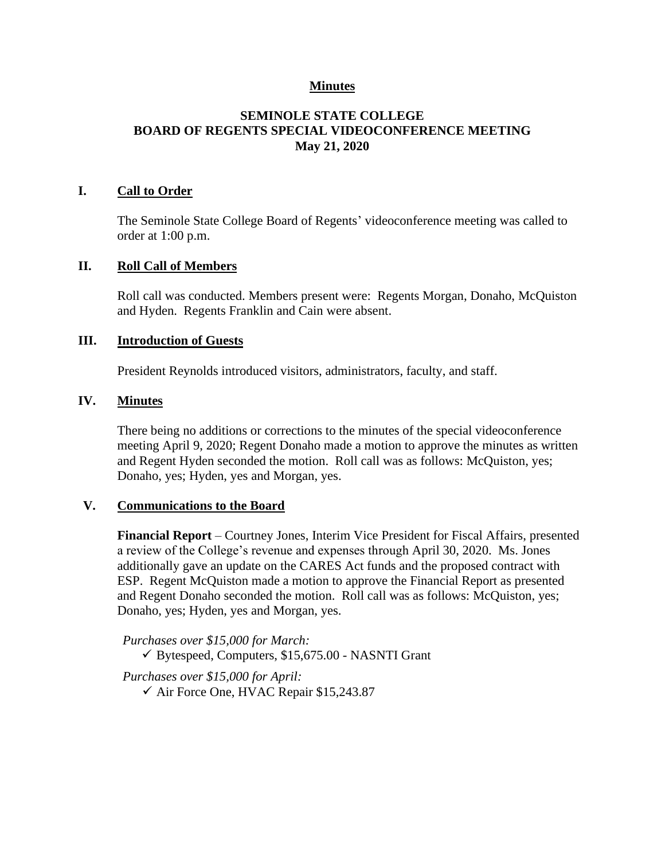### **Minutes**

## **SEMINOLE STATE COLLEGE BOARD OF REGENTS SPECIAL VIDEOCONFERENCE MEETING May 21, 2020**

### **I. Call to Order**

The Seminole State College Board of Regents' videoconference meeting was called to order at 1:00 p.m.

#### **II. Roll Call of Members**

Roll call was conducted. Members present were: Regents Morgan, Donaho, McQuiston and Hyden. Regents Franklin and Cain were absent.

#### **III. Introduction of Guests**

President Reynolds introduced visitors, administrators, faculty, and staff.

### **IV. Minutes**

There being no additions or corrections to the minutes of the special videoconference meeting April 9, 2020; Regent Donaho made a motion to approve the minutes as written and Regent Hyden seconded the motion. Roll call was as follows: McQuiston, yes; Donaho, yes; Hyden, yes and Morgan, yes.

### **V. Communications to the Board**

**Financial Report** – Courtney Jones, Interim Vice President for Fiscal Affairs, presented a review of the College's revenue and expenses through April 30, 2020. Ms. Jones additionally gave an update on the CARES Act funds and the proposed contract with ESP. Regent McQuiston made a motion to approve the Financial Report as presented and Regent Donaho seconded the motion. Roll call was as follows: McQuiston, yes; Donaho, yes; Hyden, yes and Morgan, yes.

*Purchases over \$15,000 for March:*

 $\checkmark$  Bytespeed, Computers, \$15,675.00 - NASNTI Grant

*Purchases over \$15,000 for April:*

✓ Air Force One, HVAC Repair \$15,243.87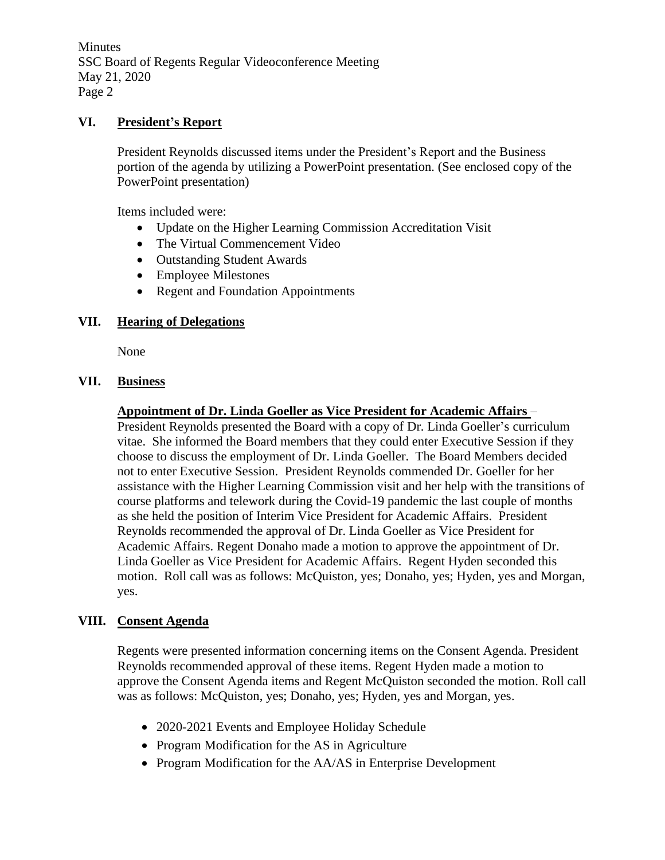Minutes SSC Board of Regents Regular Videoconference Meeting May 21, 2020 Page 2

## **VI. President's Report**

President Reynolds discussed items under the President's Report and the Business portion of the agenda by utilizing a PowerPoint presentation. (See enclosed copy of the PowerPoint presentation)

Items included were:

- Update on the Higher Learning Commission Accreditation Visit
- The Virtual Commencement Video
- Outstanding Student Awards
- Employee Milestones
- Regent and Foundation Appointments

### **VII. Hearing of Delegations**

None

### **VII. Business**

### **Appointment of Dr. Linda Goeller as Vice President for Academic Affairs** –

President Reynolds presented the Board with a copy of Dr. Linda Goeller's curriculum vitae. She informed the Board members that they could enter Executive Session if they choose to discuss the employment of Dr. Linda Goeller. The Board Members decided not to enter Executive Session. President Reynolds commended Dr. Goeller for her assistance with the Higher Learning Commission visit and her help with the transitions of course platforms and telework during the Covid-19 pandemic the last couple of months as she held the position of Interim Vice President for Academic Affairs. President Reynolds recommended the approval of Dr. Linda Goeller as Vice President for Academic Affairs. Regent Donaho made a motion to approve the appointment of Dr. Linda Goeller as Vice President for Academic Affairs. Regent Hyden seconded this motion. Roll call was as follows: McQuiston, yes; Donaho, yes; Hyden, yes and Morgan, yes.

### **VIII. Consent Agenda**

Regents were presented information concerning items on the Consent Agenda. President Reynolds recommended approval of these items. Regent Hyden made a motion to approve the Consent Agenda items and Regent McQuiston seconded the motion. Roll call was as follows: McQuiston, yes; Donaho, yes; Hyden, yes and Morgan, yes.

- 2020-2021 Events and Employee Holiday Schedule
- Program Modification for the AS in Agriculture
- Program Modification for the AA/AS in Enterprise Development